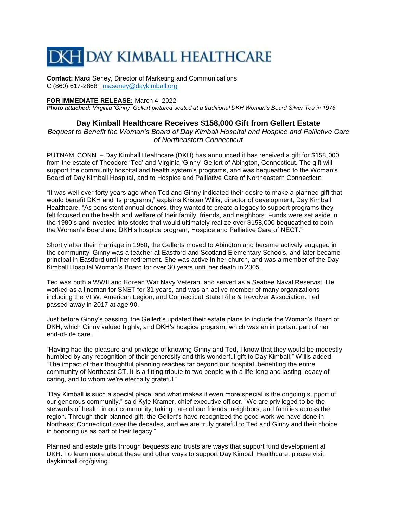## **DKH DAY KIMBALL HEALTHCARE**

**Contact:** Marci Seney, Director of Marketing and Communications C (860) 617-2868 | [maseney@daykimball.org](mailto:maseney@daykimball.org)

## **FOR IMMEDIATE RELEASE:** March 4, 2022

*Photo attached: Virginia 'Ginny' Gellert pictured seated at a traditional DKH Woman's Board Silver Tea in 1976.*

## **Day Kimball Healthcare Receives \$158,000 Gift from Gellert Estate**

*Bequest to Benefit the Woman's Board of Day Kimball Hospital and Hospice and Palliative Care of Northeastern Connecticut*

PUTNAM, CONN. – Day Kimball Healthcare (DKH) has announced it has received a gift for \$158,000 from the estate of Theodore 'Ted' and Virginia 'Ginny' Gellert of Abington, Connecticut. The gift will support the community hospital and health system's programs, and was bequeathed to the Woman's Board of Day Kimball Hospital, and to Hospice and Palliative Care of Northeastern Connecticut.

"It was well over forty years ago when Ted and Ginny indicated their desire to make a planned gift that would benefit DKH and its programs," explains Kristen Willis, director of development, Day Kimball Healthcare. "As consistent annual donors, they wanted to create a legacy to support programs they felt focused on the health and welfare of their family, friends, and neighbors. Funds were set aside in the 1980's and invested into stocks that would ultimately realize over \$158,000 bequeathed to both the Woman's Board and DKH's hospice program, Hospice and Palliative Care of NECT."

Shortly after their marriage in 1960, the Gellerts moved to Abington and became actively engaged in the community. Ginny was a teacher at Eastford and Scotland Elementary Schools, and later became principal in Eastford until her retirement. She was active in her church, and was a member of the Day Kimball Hospital Woman's Board for over 30 years until her death in 2005.

Ted was both a WWII and Korean War Navy Veteran, and served as a Seabee Naval Reservist. He worked as a lineman for SNET for 31 years, and was an active member of many organizations including the VFW, American Legion, and Connecticut State Rifle & Revolver Association. Ted passed away in 2017 at age 90.

Just before Ginny's passing, the Gellert's updated their estate plans to include the Woman's Board of DKH, which Ginny valued highly, and DKH's hospice program, which was an important part of her end-of-life care.

"Having had the pleasure and privilege of knowing Ginny and Ted, I know that they would be modestly humbled by any recognition of their generosity and this wonderful gift to Day Kimball," Willis added. "The impact of their thoughtful planning reaches far beyond our hospital, benefiting the entire community of Northeast CT. It is a fitting tribute to two people with a life-long and lasting legacy of caring, and to whom we're eternally grateful."

"Day Kimball is such a special place, and what makes it even more special is the ongoing support of our generous community," said Kyle Kramer, chief executive officer. "We are privileged to be the stewards of health in our community, taking care of our friends, neighbors, and families across the region. Through their planned gift, the Gellert's have recognized the good work we have done in Northeast Connecticut over the decades, and we are truly grateful to Ted and Ginny and their choice in honoring us as part of their legacy."

Planned and estate gifts through bequests and trusts are ways that support fund development at DKH. To learn more about these and other ways to support Day Kimball Healthcare, please visit daykimball.org/giving.